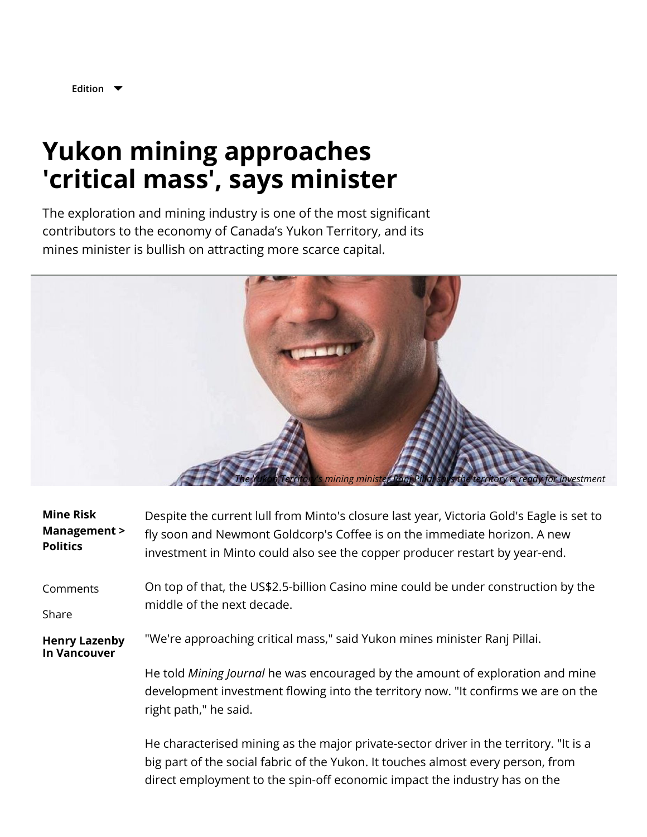

**[Edition](javascript:void(0);)**

## **Yukon mining approaches 'critical mass', says minister**

The exploration and mining industry is one of the most significant contributors to the economy of Canada's Yukon Territory, and its mines minister is bullish on attracting more scarce capital.



| <b>Mine Risk</b><br>Management ><br><b>Politics</b> | Despite the current lull from Minto's closure last year, Victoria Gold's Eagle is set to<br>fly soon and Newmont Goldcorp's Coffee is on the immediate horizon. A new<br>investment in Minto could also see the copper producer restart by year-end. |
|-----------------------------------------------------|------------------------------------------------------------------------------------------------------------------------------------------------------------------------------------------------------------------------------------------------------|
| Comments<br>Share                                   | On top of that, the US\$2.5-billion Casino mine could be under construction by the<br>middle of the next decade.                                                                                                                                     |
| <b>Henry Lazenby</b><br><b>In Vancouver</b>         | "We're approaching critical mass," said Yukon mines minister Ranj Pillai.                                                                                                                                                                            |
|                                                     | He told Mining Journal he was encouraged by the amount of exploration and mine<br>development investment flowing into the territory now. "It confirms we are on the<br>right path," he said.                                                         |
|                                                     | He characterised mining as the major private-sector driver in the territory. "It is a<br>big part of the social fabric of the Yukon. It touches almost every person, from                                                                            |

direct employment to the spin-off economic impact the industry has on the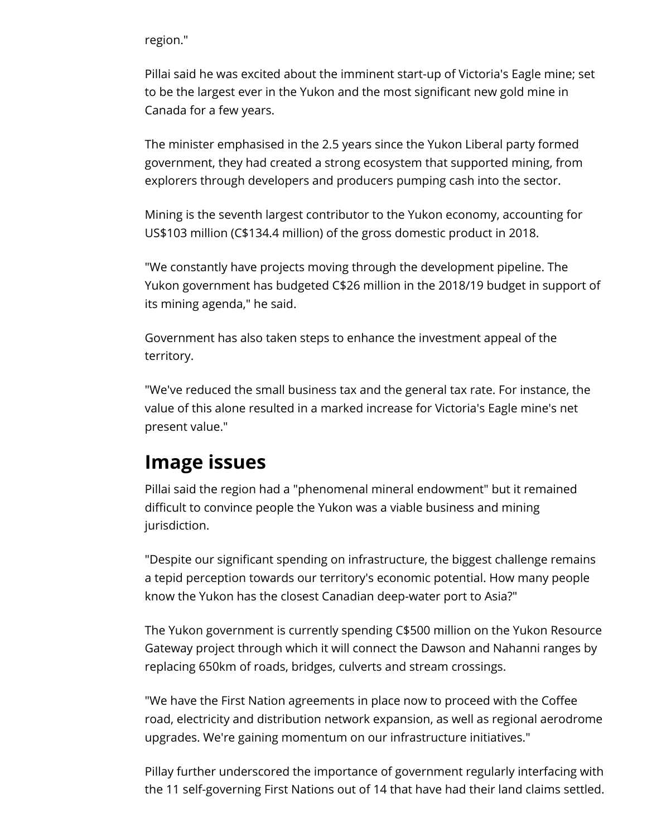region."

Pillai said he was excited about the imminent start-up of Victoria's Eagle mine; set to be the largest ever in the Yukon and the most signicant new gold mine in Canada for a few years.

The minister emphasised in the 2.5 years since the Yukon Liberal party formed government, they had created a strong ecosystem that supported mining, from explorers through developers and producers pumping cash into the sector.

Mining is the seventh largest contributor to the Yukon economy, accounting for US\$103 million (C\$134.4 million) of the gross domestic product in 2018.

"We constantly have projects moving through the development pipeline. The Yukon government has budgeted C\$26 million in the 2018/19 budget in support of its mining agenda," he said.

Government has also taken steps to enhance the investment appeal of the territory.

"We've reduced the small business tax and the general tax rate. For instance, the value of this alone resulted in a marked increase for Victoria's Eagle mine's net present value."

## **Image issues**

Pillai said the region had a "phenomenal mineral endowment" but it remained difficult to convince people the Yukon was a viable business and mining jurisdiction.

"Despite our significant spending on infrastructure, the biggest challenge remains a tepid perception towards our territory's economic potential. How many people know the Yukon has the closest Canadian deep-water port to Asia?"

The Yukon government is currently spending C\$500 million on the Yukon Resource Gateway project through which it will connect the Dawson and Nahanni ranges by replacing 650km of roads, bridges, culverts and stream crossings.

"We have the First Nation agreements in place now to proceed with the Coffee road, electricity and distribution network expansion, as well as regional aerodrome upgrades. We're gaining momentum on our infrastructure initiatives."

Pillay further underscored the importance of government regularly interfacing with the 11 self-governing First Nations out of 14 that have had their land claims settled.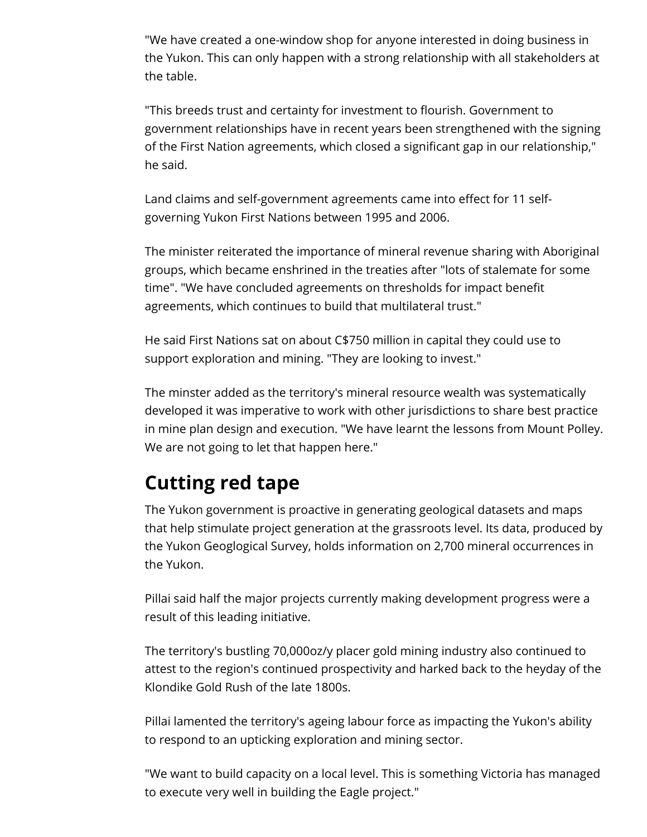"We have created a one-window shop for anyone interested in doing business in the Yukon. This can only happen with a strong relationship with all stakeholders at the table.

"This breeds trust and certainty for investment to flourish. Government to government relationships have in recent years been strengthened with the signing of the First Nation agreements, which closed a significant gap in our relationship," he said.

Land claims and self-government agreements came into effect for 11 selfgoverning Yukon First Nations between 1995 and 2006.

The minister reiterated the importance of mineral revenue sharing with Aboriginal groups, which became enshrined in the treaties after "lots of stalemate for some time". "We have concluded agreements on thresholds for impact benet agreements, which continues to build that multilateral trust."

He said First Nations sat on about C\$750 million in capital they could use to support exploration and mining. "They are looking to invest."

The minster added as the territory's mineral resource wealth was systematically developed it was imperative to work with other jurisdictions to share best practice in mine plan design and execution. "We have learnt the lessons from Mount Polley. We are not going to let that happen here."

## **Cutting red tape**

The Yukon government is proactive in generating geological datasets and maps that help stimulate project generation at the grassroots level. Its data, produced by the Yukon Geoglogical Survey, holds information on 2,700 mineral occurrences in the Yukon.

Pillai said half the major projects currently making development progress were a result of this leading initiative.

The territory's bustling 70,000oz/y placer gold mining industry also continued to attest to the region's continued prospectivity and harked back to the heyday of the Klondike Gold Rush of the late 1800s.

Pillai lamented the territory's ageing labour force as impacting the Yukon's ability to respond to an upticking exploration and mining sector.

"We want to build capacity on a local level. This is something Victoria has managed to execute very well in building the Eagle project."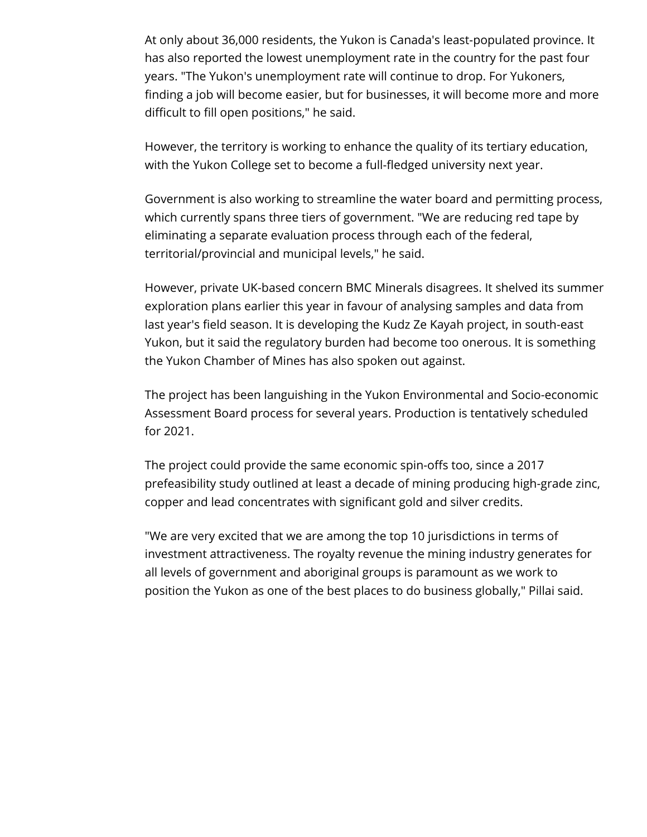At only about 36,000 residents, the Yukon is Canada's least-populated province. It has also reported the lowest unemployment rate in the country for the past four years. "The Yukon's unemployment rate will continue to drop. For Yukoners, finding a job will become easier, but for businesses, it will become more and more difficult to fill open positions," he said.

However, the territory is working to enhance the quality of its tertiary education, with the Yukon College set to become a full-fledged university next year.

Government is also working to streamline the water board and permitting process, which currently spans three tiers of government. "We are reducing red tape by eliminating a separate evaluation process through each of the federal, territorial/provincial and municipal levels," he said.

However, private UK-based concern BMC Minerals disagrees. It shelved its summer exploration plans earlier this year in favour of analysing samples and data from last year's field season. It is developing the Kudz Ze Kayah project, in south-east Yukon, but it said the regulatory burden had become too onerous. It is something the Yukon Chamber of Mines has also spoken out against.

The project has been languishing in the Yukon Environmental and Socio-economic Assessment Board process for several years. Production is tentatively scheduled for 2021.

The project could provide the same economic spin-offs too, since a 2017 prefeasibility study outlined at least a decade of mining producing high-grade zinc, copper and lead concentrates with significant gold and silver credits.

"We are very excited that we are among the top 10 jurisdictions in terms of investment attractiveness. The royalty revenue the mining industry generates for all levels of government and aboriginal groups is paramount as we work to position the Yukon as one of the best places to do business globally," Pillai said.